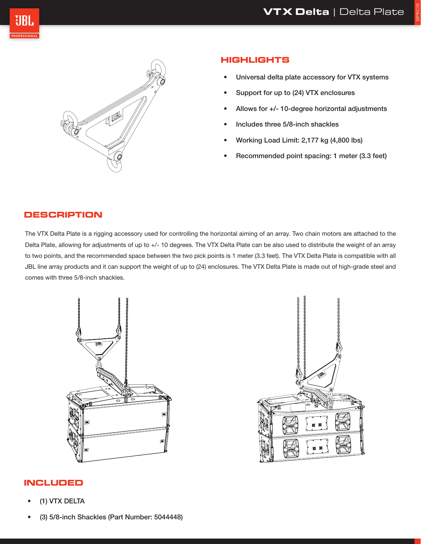SPECS





# **HIGHLIGHTS**

- Universal delta plate accessory for VTX systems
- Support for up to (24) VTX enclosures
- Allows for +/- 10-degree horizontal adjustments
- Includes three 5/8-inch shackles
- Working Load Limit: 2,177 kg (4,800 lbs)
- Recommended point spacing: 1 meter (3.3 feet)

### **DESCRIPTION**

The VTX Delta Plate is a rigging accessory used for controlling the horizontal aiming of an array. Two chain motors are attached to the Delta Plate, allowing for adjustments of up to +/- 10 degrees. The VTX Delta Plate can be also used to distribute the weight of an array to two points, and the recommended space between the two pick points is 1 meter (3.3 feet). The VTX Delta Plate is compatible with all JBL line array products and it can support the weight of up to (24) enclosures. The VTX Delta Plate is made out of high-grade steel and comes with three 5/8-inch shackles.





### **INCLUDED**

- (1) VTX DELTA
- (3) 5/8-inch Shackles (Part Number: 5044448)